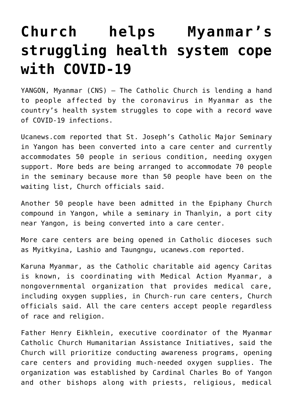## **[Church helps Myanmar's](https://www.osvnews.com/2021/07/26/church-helps-myanmars-struggling-health-system-cope-with-covid-19/) [struggling health system cope](https://www.osvnews.com/2021/07/26/church-helps-myanmars-struggling-health-system-cope-with-covid-19/) [with COVID-19](https://www.osvnews.com/2021/07/26/church-helps-myanmars-struggling-health-system-cope-with-covid-19/)**

YANGON, Myanmar (CNS) — The Catholic Church is lending a hand to people affected by the coronavirus in Myanmar as the country's health system struggles to cope with a record wave of COVID-19 infections.

Ucanews.com reported that St. Joseph's Catholic Major Seminary in Yangon has been converted into a care center and currently accommodates 50 people in serious condition, needing oxygen support. More beds are being arranged to accommodate 70 people in the seminary because more than 50 people have been on the waiting list, Church officials said.

Another 50 people have been admitted in the Epiphany Church compound in Yangon, while a seminary in Thanlyin, a port city near Yangon, is being converted into a care center.

More care centers are being opened in Catholic dioceses such as Myitkyina, Lashio and Taungngu, ucanews.com reported.

Karuna Myanmar, as the Catholic charitable aid agency Caritas is known, is coordinating with Medical Action Myanmar, a nongovernmental organization that provides medical care, including oxygen supplies, in Church-run care centers, Church officials said. All the care centers accept people regardless of race and religion.

Father Henry Eikhlein, executive coordinator of the Myanmar Catholic Church Humanitarian Assistance Initiatives, said the Church will prioritize conducting awareness programs, opening care centers and providing much-needed oxygen supplies. The organization was established by Cardinal Charles Bo of Yangon and other bishops along with priests, religious, medical